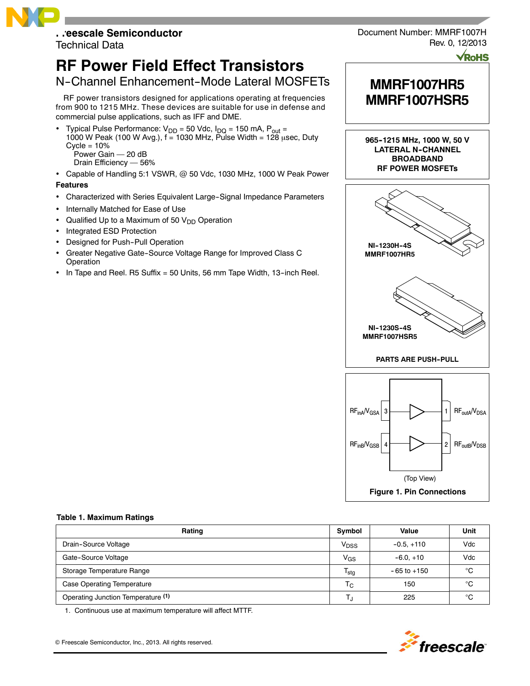# **Freescale Semiconductor**

Technical Data

# **RF Power Field Effect Transistors**

# N-Channel Enhancement-Mode Lateral MOSFETs

RF power transistors designed for applications operating at frequencies from 900 to 1215 MHz. These devices are suitable for use in defense and commercial pulse applications, such as IFF and DME.

Typical Pulse Performance:  $V_{DD} = 50$  Vdc,  $I_{DQ} = 150$  mA,  $P_{out} =$ 1000 W Peak (100 W Avg.),  $f = 1030$  MHz, Pulse Width = 128 usec, Duty  $Cycle = 10%$ Power Gain — 20 dB

Drain Efficiency — 56%

- Capable of Handling 5:1 VSWR, @ 50 Vdc, 1030 MHz, 1000 W Peak Power **Features**
- Characterized with Series Equivalent Large-Signal Impedance Parameters
- Internally Matched for Ease of Use
- Qualified Up to a Maximum of 50  $V<sub>DD</sub>$  Operation
- Integrated ESD Protection
- Designed for Push-Pull Operation
- Greater Negative Gate--Source Voltage Range for Improved Class C Operation
- In Tape and Reel. R5 Suffix = 50 Units, 56 mm Tape Width, 13--inch Reel.



**VRoHS** 

# **MMRF1007HR5 MMRF1007HSR5**

**965--1215 MHz, 1000 W, 50 V LATERAL N--CHANNEL BROADBAND RF POWER MOSFETs**





#### **Table 1. Maximum Ratings**

| Rating                             | Symbol                    | Value           | Unit |
|------------------------------------|---------------------------|-----------------|------|
| Drain-Source Voltage               | V <sub>DSS</sub>          | $-0.5. +110$    | Vdc  |
| Gate-Source Voltage                | $V_{GS}$                  | $-6.0 + 10$     | Vdc  |
| Storage Temperature Range          | $\mathsf{T}_{\text{stg}}$ | $-65$ to $+150$ | °C   |
| <b>Case Operating Temperature</b>  | $T_{\rm C}$               | 150             | °C   |
| Operating Junction Temperature (1) |                           | 225             | °C   |

1. Continuous use at maximum temperature will affect MTTF.



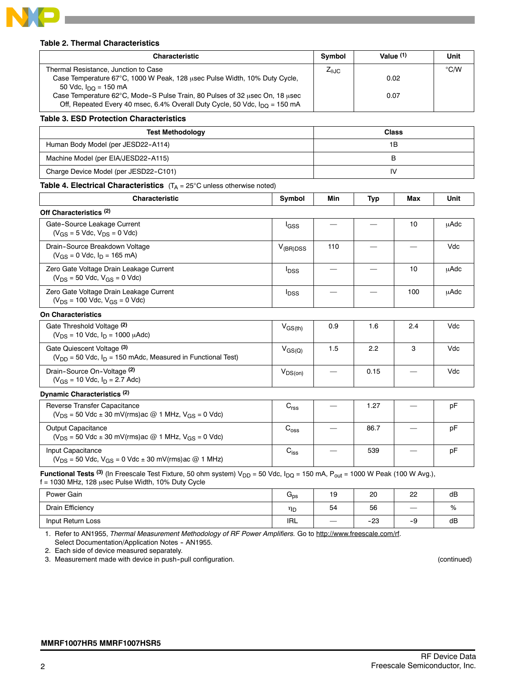

#### **Table 2. Thermal Characteristics**

| <b>Characteristic</b>                                                                                                                                                         |        | Symbol          |     | Value $(1)$  | Unit          |
|-------------------------------------------------------------------------------------------------------------------------------------------------------------------------------|--------|-----------------|-----|--------------|---------------|
| Thermal Resistance, Junction to Case                                                                                                                                          |        | $Z_{\theta,IC}$ |     |              | $\degree$ C/W |
| Case Temperature 67°C, 1000 W Peak, 128 usec Pulse Width, 10% Duty Cycle,                                                                                                     |        |                 |     | 0.02         |               |
| 50 Vdc, $I_{\text{DO}} = 150 \text{ mA}$                                                                                                                                      |        |                 |     | 0.07         |               |
| Case Temperature 62°C, Mode-S Pulse Train, 80 Pulses of 32 usec On, 18 usec<br>Off, Repeated Every 40 msec, 6.4% Overall Duty Cycle, 50 Vdc, $I_{\text{DO}} = 150 \text{ mA}$ |        |                 |     |              |               |
| <b>Table 3. ESD Protection Characteristics</b>                                                                                                                                |        |                 |     |              |               |
| <b>Test Methodology</b>                                                                                                                                                       |        |                 |     | <b>Class</b> |               |
| Human Body Model (per JESD22-A114)                                                                                                                                            |        | 1B              |     |              |               |
| Machine Model (per EIA/JESD22-A115)                                                                                                                                           |        | в               |     |              |               |
| Charge Device Model (per JESD22-C101)                                                                                                                                         |        | IV              |     |              |               |
| <b>Table 4. Electrical Characteristics</b> $(T_A = 25^\circ C \text{ unless otherwise noted})$                                                                                |        |                 |     |              |               |
| <b>Characteristic</b>                                                                                                                                                         | Symbol | Min             | Typ | Max          | Unit          |
| $\sim$<br>----<br>                                                                                                                                                            |        |                 |     |              |               |

| Off Characteristics (2)                                                           |                  |     |  |     |      |
|-----------------------------------------------------------------------------------|------------------|-----|--|-----|------|
| Gate-Source Leakage Current<br>$(V_{GS} = 5$ Vdc, $V_{DS} = 0$ Vdc)               | <sup>I</sup> GSS |     |  | 10  | uAdc |
| Drain-Source Breakdown Voltage<br>$(V_{GS} = 0$ Vdc, $I_D = 165$ mA)              | $V_{(BR)DSS}$    | 110 |  |     | Vdc  |
| Zero Gate Voltage Drain Leakage Current<br>$(V_{DS} = 50$ Vdc, $V_{GS} = 0$ Vdc)  | <b>IDSS</b>      |     |  | 10  | uAdc |
| Zero Gate Voltage Drain Leakage Current<br>$(V_{DS} = 100$ Vdc, $V_{GS} = 0$ Vdc) | <b>IDSS</b>      |     |  | 100 | uAdc |

| <b>On Characteristics</b>                                                                        |                                          |     |      |     |     |
|--------------------------------------------------------------------------------------------------|------------------------------------------|-----|------|-----|-----|
| Gate Threshold Voltage (2)<br>$(V_{DS} = 10$ Vdc, $I_D = 1000$ $\mu$ Adc)                        | $V_{GS(th)}$                             | 0.9 | 1.6  | 2.4 | Vdc |
| Gate Quiescent Voltage (3)<br>$(V_{DD} = 50$ Vdc, $I_D = 150$ mAdc, Measured in Functional Test) | $V_{GS(Q)}$                              | 1.5 | 2.2  |     | Vdc |
| Drain-Source On-Voltage (2)<br>$(V_{GS} = 10$ Vdc, $I_D = 2.7$ Adc)                              | $\mathsf{V}_{\mathsf{DS}( \mathsf{on})}$ |     | 0.15 |     | Vdc |

#### **Dynamic Characteristics (2)**

| Reverse Transfer Capacitance<br>$(V_{DS} = 50$ Vdc $\pm$ 30 mV(rms)ac @ 1 MHz, $V_{GS} = 0$ Vdc) | $\mathsf{v}_{\mathsf{rss}}$     |  | 1.27 |  | рF |
|--------------------------------------------------------------------------------------------------|---------------------------------|--|------|--|----|
| <b>Output Capacitance</b><br>$(V_{DS} = 50$ Vdc $\pm$ 30 mV(rms)ac @ 1 MHz, $V_{GS} = 0$ Vdc)    | $\mathord{\cup_{\mathsf{OSS}}}$ |  | 86.7 |  | рF |
| Input Capacitance<br>$(V_{DS} = 50$ Vdc, $V_{GS} = 0$ Vdc $\pm$ 30 mV(rms) ac @ 1 MHz)           | $\mathrm{C_{iss}}$              |  | 539  |  | рF |

Functional Tests <sup>(3)</sup> (In Freescale Test Fixture, 50 ohm system) V<sub>DD</sub> = 50 Vdc, I<sub>DQ</sub> = 150 mA, P<sub>out</sub> = 1000 W Peak (100 W Avg.),  $f = 1030$  MHz, 128 usec Pulse Width, 10% Duty Cycle

| Power Gain        | $\mathsf{u}_{\mathsf{ps}}$ | $\overline{ }$<br>ıУ | 20    | 22 | dB |
|-------------------|----------------------------|----------------------|-------|----|----|
| Drain Efficiency  | ηD                         | 54                   | 56    |    | %  |
| Input Return Loss | IRL                        | $\qquad \qquad$      | $-23$ | -9 | dB |

1. Refer to AN1955, *Thermal Measurement Methodology of RF Power Amplifiers.* Go to http://www.freescale.com/rf. Select Documentation/Application Notes - AN1955.

2. Each side of device measured separately.

3. Measurement made with device in push--pull configuration. (continued)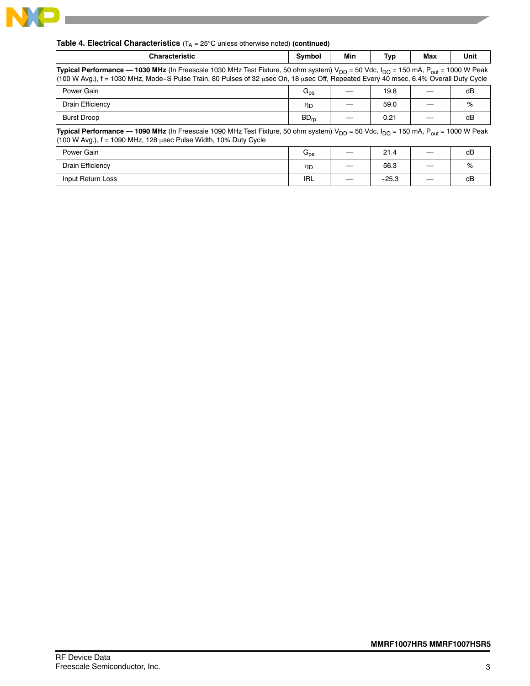

# **Table 4. Electrical Characteristics** (T<sub>A</sub> = 25°C unless otherwise noted) (continued)

| <b>Characteristic</b>                                                                                                                                                                                                                                                                                   | Symbol           | Min | Typ  | Max | Unit |  |
|---------------------------------------------------------------------------------------------------------------------------------------------------------------------------------------------------------------------------------------------------------------------------------------------------------|------------------|-----|------|-----|------|--|
| Typical Performance — 1030 MHz (In Freescale 1030 MHz Test Fixture, 50 ohm system) $V_{DD}$ = 50 Vdc, I <sub>DQ</sub> = 150 mA, P <sub>out</sub> = 1000 W Peak<br>(100 W Avg.), f = 1030 MHz, Mode-S Pulse Train, 80 Pulses of 32 μsec On, 18 μsec Off, Repeated Every 40 msec, 6.4% Overall Duty Cycle |                  |     |      |     |      |  |
| Power Gain                                                                                                                                                                                                                                                                                              | $G_{DS}$         |     | 19.8 |     | dB   |  |
| Drain Efficiency                                                                                                                                                                                                                                                                                        | ηD               |     | 59.0 |     | %    |  |
| <b>Burst Droop</b>                                                                                                                                                                                                                                                                                      | $BD_{\text{ro}}$ |     | 0.21 |     | dB   |  |
| <b>Typical Performance — 1090 MHz</b> (In Freescale 1090 MHz Test Fixture, 50 ohm system) $V_{DD}$ = 50 Vdc, $I_{DO}$ = 150 mA, P <sub>out</sub> = 1000 W Peak<br>(100 W Avg.), f = 1090 MHz, 128 usec Pulse Width, 10% Duty Cycle                                                                      |                  |     |      |     |      |  |
| Power Gain                                                                                                                                                                                                                                                                                              | $G_{DS}$         |     | 21.4 |     | dB   |  |
| Drain Efficiency                                                                                                                                                                                                                                                                                        | ηD               |     | 56.3 |     | %    |  |

Input Return Loss IRL *—* --25.3 *—* dB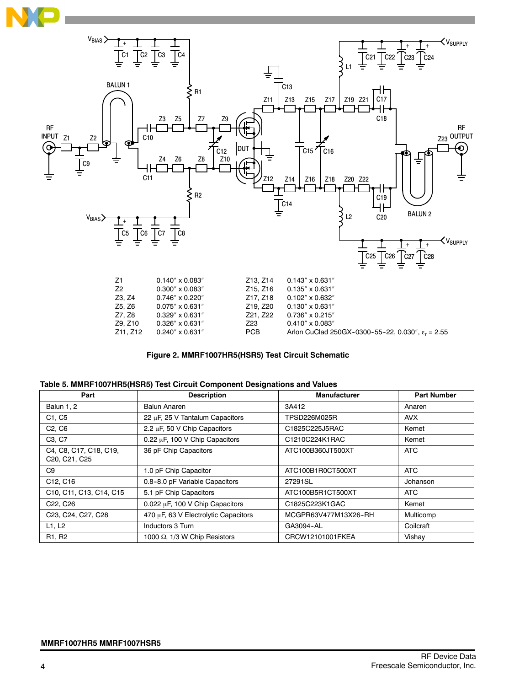



#### **Figure 2. MMRF1007HR5(HSR5) Test Circuit Schematic**

| Part                                                                                    | <b>Description</b>                   | <b>Manufacturer</b>  | <b>Part Number</b> |
|-----------------------------------------------------------------------------------------|--------------------------------------|----------------------|--------------------|
| Balun 1, 2                                                                              | <b>Balun Anaren</b>                  | 3A412                | Anaren             |
| C <sub>1</sub> . C <sub>5</sub>                                                         | 22 µF, 25 V Tantalum Capacitors      | TPSD226M025R         | <b>AVX</b>         |
| C <sub>2</sub> , C <sub>6</sub>                                                         | 2.2 µF, 50 V Chip Capacitors         | C1825C225J5RAC       | Kemet              |
| C <sub>3</sub> , C <sub>7</sub>                                                         | 0.22 µF, 100 V Chip Capacitors       | C1210C224K1RAC       | Kemet              |
| C4, C8, C17, C18, C19,<br>C <sub>20</sub> , C <sub>21</sub> , C <sub>25</sub>           | 36 pF Chip Capacitors                | ATC100B360JT500XT    | <b>ATC</b>         |
| C9                                                                                      | 1.0 pF Chip Capacitor                | ATC100B1R0CT500XT    | <b>ATC</b>         |
| C12, C16                                                                                | 0.8-8.0 pF Variable Capacitors       | 27291SL              | Johanson           |
| C <sub>10</sub> , C <sub>11</sub> , C <sub>13</sub> , C <sub>14</sub> , C <sub>15</sub> | 5.1 pF Chip Capacitors               | ATC100B5R1CT500XT    | ATC                |
| C <sub>22</sub> , C <sub>26</sub>                                                       | 0.022 µF, 100 V Chip Capacitors      | C1825C223K1GAC       | Kemet              |
| C23, C24, C27, C28                                                                      | 470 µF, 63 V Electrolytic Capacitors | MCGPR63V477M13X26-RH | Multicomp          |
| L1, L2                                                                                  | Inductors 3 Turn                     | GA3094-AL            | Coilcraft          |
| R <sub>1</sub> , R <sub>2</sub>                                                         | 1000 $\Omega$ , 1/3 W Chip Resistors | CRCW12101001FKEA     | Vishay             |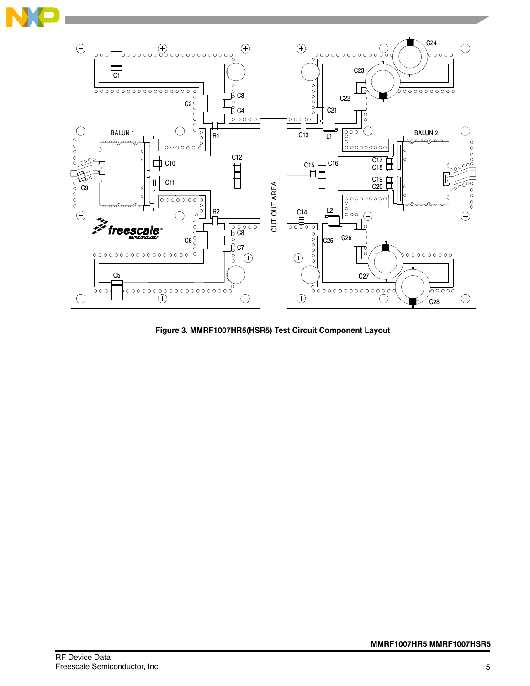



**Figure 3. MMRF1007HR5(HSR5) Test Circuit Component Layout**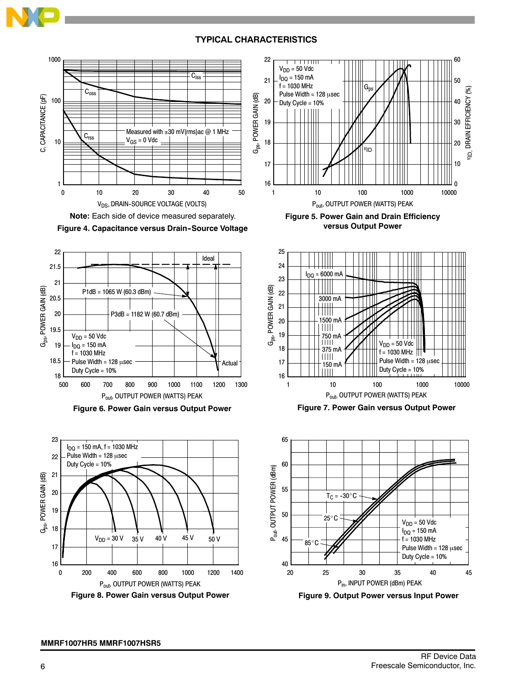# **TYPICAL CHARACTERISTICS**













![](_page_5_Figure_7.jpeg)

![](_page_5_Figure_8.jpeg)

![](_page_5_Figure_9.jpeg)

**Figure 7. Power Gain versus Output Power**

![](_page_5_Figure_11.jpeg)

**Figure 9. Output Power versus Input Power**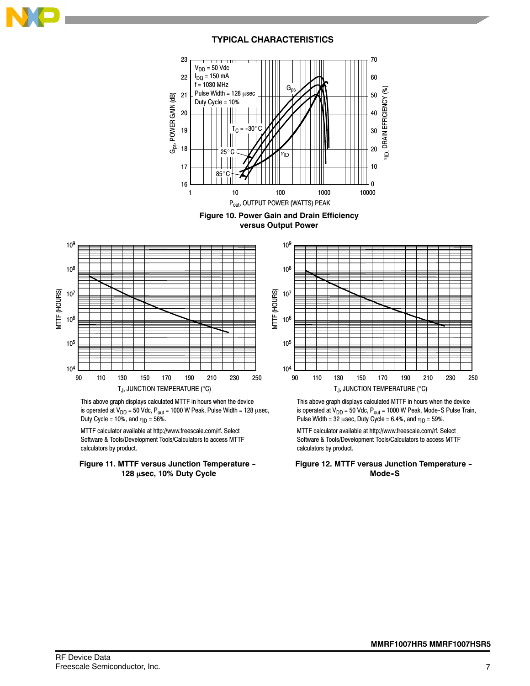![](_page_6_Picture_0.jpeg)

![](_page_6_Figure_1.jpeg)

![](_page_6_Figure_2.jpeg)

![](_page_6_Figure_3.jpeg)

This above graph displays calculated MTTF in hours when the device is operated at  $V_{DD} = 50$  Vdc,  $P_{out} = 1000$  W Peak, Pulse Width = 128  $\mu$ sec, Duty Cycle = 10%, and  $\eta_D = 56\%$ .

MTTF calculator available at http://www.freescale.com/rf. Select Software & Tools/Development Tools/Calculators to access MTTF calculators by product.

#### **Figure 11. MTTF versus Junction Temperature -- 128 sec, 10% Duty Cycle**

![](_page_6_Figure_7.jpeg)

This above graph displays calculated MTTF in hours when the device is operated at  $V_{DD}$  = 50 Vdc,  $P_{out}$  = 1000 W Peak, Mode-S Pulse Train, Pulse Width = 32  $\mu$ sec, Duty Cycle = 6.4%, and  $\eta_D$  = 59%.

MTTF calculator available at http://www.freescale.com/rf. Select Software & Tools/Development Tools/Calculators to access MTTF calculators by product.

**Figure 12. MTTF versus Junction Temperature -- Mode--S**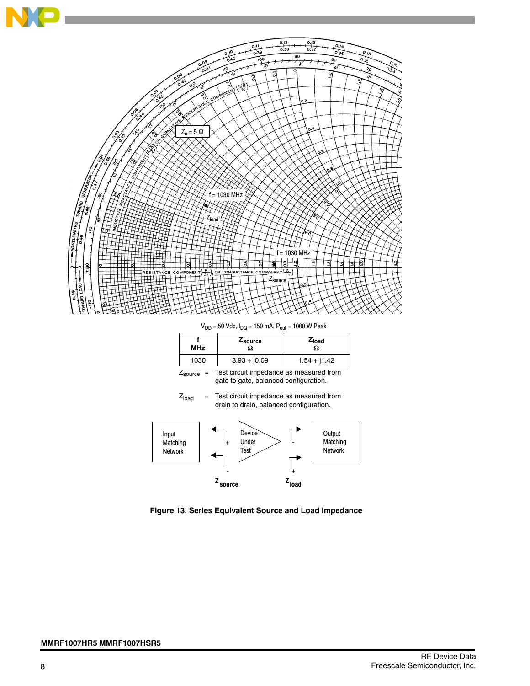![](_page_7_Figure_0.jpeg)

 $V_{DD}$  = 50 Vdc,  $I_{DQ}$  = 150 mA,  $P_{out}$  = 1000 W Peak

| <b>MHz</b> | ∠ <sub>source</sub> | $Z_{load}$<br>Ω |
|------------|---------------------|-----------------|
| 1030       | $3.93 + j0.09$      | $1.54 + j1.42$  |

 $Z_{\text{source}}$  = Test circuit impedance as measured from gate to gate, balanced configuration.

![](_page_7_Figure_4.jpeg)

![](_page_7_Figure_5.jpeg)

**Figure 13. Series Equivalent Source and Load Impedance**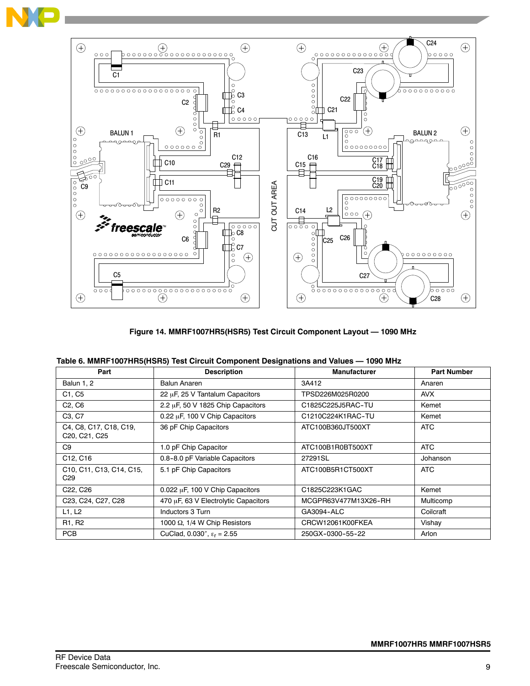![](_page_8_Figure_0.jpeg)

![](_page_8_Figure_1.jpeg)

**Figure 14. MMRF1007HR5(HSR5) Test Circuit Component Layout — 1090 MHz**

| Table 6. MMRF1007HR5(HSR5) Test Circuit Component Designations and Values — 1090 MHz |  |  |  |
|--------------------------------------------------------------------------------------|--|--|--|
|--------------------------------------------------------------------------------------|--|--|--|

| Part                                    | <b>Description</b>                   | <b>Manufacturer</b>  | <b>Part Number</b> |
|-----------------------------------------|--------------------------------------|----------------------|--------------------|
| Balun 1, 2                              | <b>Balun Anaren</b>                  | 3A412                | Anaren             |
| C <sub>1</sub> , C <sub>5</sub>         | 22 µF, 25 V Tantalum Capacitors      | TPSD226M025R0200     | AVX                |
| C <sub>2</sub> , C <sub>6</sub>         | 2.2 µF, 50 V 1825 Chip Capacitors    | C1825C225J5RAC-TU    | Kemet              |
| C <sub>3</sub> , C <sub>7</sub>         | 0.22 µF, 100 V Chip Capacitors       | C1210C224K1RAC-TU    | Kemet              |
| C4, C8, C17, C18, C19,<br>C20, C21, C25 | 36 pF Chip Capacitors                | ATC100B360JT500XT    | ATC                |
| C9                                      | 1.0 pF Chip Capacitor                | ATC100B1R0BT500XT    | ATC                |
| C12, C16                                | 0.8-8.0 pF Variable Capacitors       | 27291SL              | Johanson           |
| C10, C11, C13, C14, C15,<br>C29         | 5.1 pF Chip Capacitors               | ATC100B5R1CT500XT    | ATC                |
| C <sub>22</sub> , C <sub>26</sub>       | 0.022 µF, 100 V Chip Capacitors      | C1825C223K1GAC       | Kemet              |
| C23, C24, C27, C28                      | 470 µF, 63 V Electrolytic Capacitors | MCGPR63V477M13X26-RH | Multicomp          |
| L1, L2                                  | Inductors 3 Turn                     | GA3094-ALC           | Coilcraft          |
| R <sub>1</sub> , R <sub>2</sub>         | 1000 $\Omega$ , 1/4 W Chip Resistors | CRCW12061K00FKEA     | Vishay             |
| <b>PCB</b>                              | CuClad, 0.030", $\epsilon_r = 2.55$  | 250GX-0300-55-22     | Arlon              |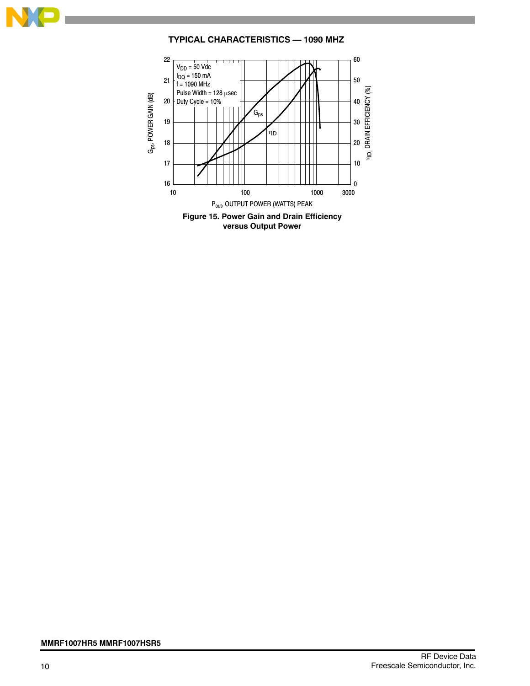![](_page_9_Picture_0.jpeg)

# **TYPICAL CHARACTERISTICS — 1090 MHZ**

![](_page_9_Figure_2.jpeg)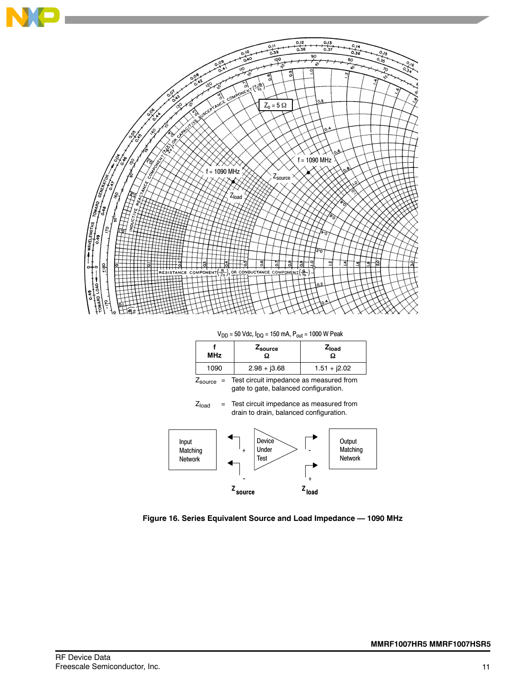![](_page_10_Figure_0.jpeg)

 $V_{DD}$  = 50 Vdc,  $I_{DQ}$  = 150 mA,  $P_{out}$  = 1000 W Peak

| <b>MHz</b> | Zsource       | $Z_{load}$<br>Ω |  |  |
|------------|---------------|-----------------|--|--|
| 1090       | $2.98 + 3.68$ | $1.51 + j2.02$  |  |  |

Zsource = Test circuit impedance as measured from gate to gate, balanced configuration.

 $Z<sub>load</sub>$  = Test circuit impedance as measured from drain to drain, balanced configuration.

![](_page_10_Figure_5.jpeg)

**Figure 16. Series Equivalent Source and Load Impedance — 1090 MHz**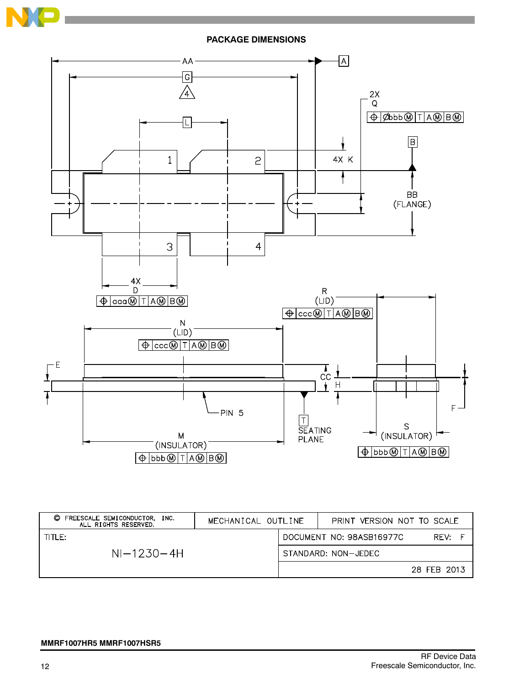![](_page_11_Picture_0.jpeg)

![](_page_11_Figure_1.jpeg)

| FREESCALE SEMICONDUCTOR, INC.<br>O<br>ALL RIGHTS RESERVED. | MECHANICAL OUTLINE |  | PRINT VERSION NOT TO SCALE |             |
|------------------------------------------------------------|--------------------|--|----------------------------|-------------|
| TITLE:                                                     |                    |  | DOCUMENT NO: 98ASB16977C   | RFV:        |
| $NI-1230-4H$                                               |                    |  | STANDARD: NON-JEDEC        |             |
|                                                            |                    |  |                            | 28 FEB 2013 |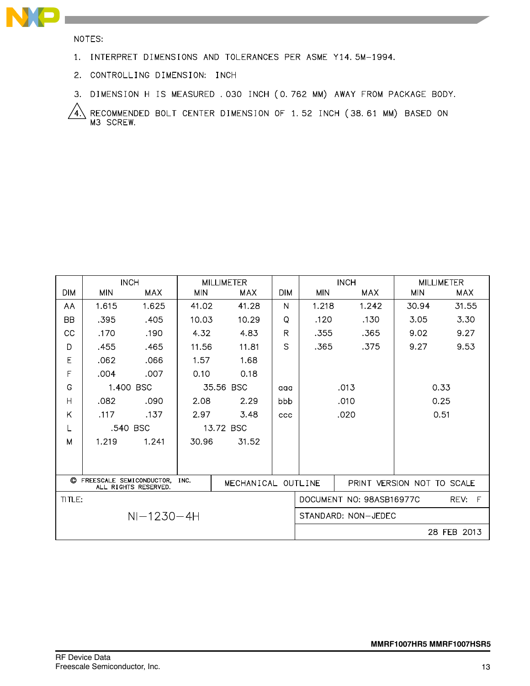![](_page_12_Picture_0.jpeg)

NOTES:

- 1. INTERPRET DIMENSIONS AND TOLERANCES PER ASME Y14.5M-1994.
- 2. CONTROLLING DIMENSION: INCH
- 3. DIMENSION H IS MEASURED . 030 INCH (0.762 MM) AWAY FROM PACKAGE BODY.

RECOMMENDED BOLT CENTER DIMENSION OF 1.52 INCH (38.61 MM) BASED ON<br>M3 SCREW.  $\sqrt{4}$ 

|                                                                                  | <b>INCH</b> |           | <b>MILLIMETER</b> |            |                            | <b>INCH</b>         |                          | <b>MILLIMETER</b> |           |
|----------------------------------------------------------------------------------|-------------|-----------|-------------------|------------|----------------------------|---------------------|--------------------------|-------------------|-----------|
| <b>DIM</b>                                                                       | <b>MIN</b>  | MAX       | <b>MIN</b>        | <b>MAX</b> | <b>DIM</b>                 | <b>MIN</b>          | MAX                      | <b>MIN</b>        | MAX       |
| AA                                                                               | 1.615       | 1.625     | 41.02             | 41.28      | N                          | 1.218               | 1.242                    | 30.94             | 31.55     |
| <b>BB</b>                                                                        | .395        | .405      | 10.03             | 10.29      | Q                          | .120                | .130                     | 3.05              | 3.30      |
| CC                                                                               | .170        | .190      | 4.32              | 4.83       | $\mathsf{R}$               | .355                | .365                     | 9.02              | 9.27      |
| D                                                                                | .455        | .465      | 11.56             | 11.81      | S.                         | .365                | .375                     | 9.27              | 9.53      |
| E                                                                                | .062        | .066      | 1.57              | 1.68       |                            |                     |                          |                   |           |
| F                                                                                | .004        | .007      | 0.10              | 0.18       |                            |                     |                          |                   |           |
| G                                                                                |             | 1.400 BSC |                   | 35.56 BSC  | aaa                        | 0.33<br>.013        |                          |                   |           |
| H                                                                                | .082        | .090      | 2.08              | 2.29       | bbb                        | 0.25<br>.010        |                          |                   |           |
| Κ                                                                                | .117        | .137      | 2.97              | 3.48       | <b>CCC</b>                 |                     | .020                     |                   | 0.51      |
| L                                                                                |             | .540 BSC  |                   | 13.72 BSC  |                            |                     |                          |                   |           |
| M                                                                                | 1.219       | 1.241     | 30.96             | 31.52      |                            |                     |                          |                   |           |
|                                                                                  |             |           |                   |            |                            |                     |                          |                   |           |
|                                                                                  |             |           |                   |            |                            |                     |                          |                   |           |
| C FREESCALE SEMICONDUCTOR,<br>INC.<br>MECHANICAL OUTLINE<br>ALL RIGHTS RESERVED. |             |           |                   |            | PRINT VERSION NOT TO SCALE |                     |                          |                   |           |
| TITLE:                                                                           |             |           |                   |            |                            |                     | DOCUMENT NO: 98ASB16977C |                   | F<br>REV: |
| $NI-1230-4H$                                                                     |             |           |                   |            |                            | STANDARD: NON-JEDEC |                          |                   |           |
|                                                                                  |             |           |                   |            |                            |                     |                          | 28 FEB 2013       |           |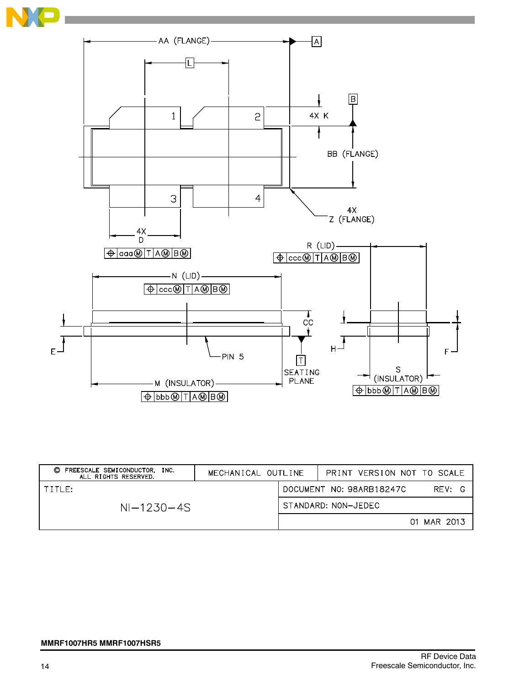![](_page_13_Picture_0.jpeg)

![](_page_13_Figure_1.jpeg)

| FREESCALE SEMICONDUCTOR,<br>O<br>INC.<br>ALL RIGHTS RESERVED. | MECHANICAL OUTLINE |                                    | PRINT VERSION NOT TO SCALE |  |  |
|---------------------------------------------------------------|--------------------|------------------------------------|----------------------------|--|--|
| TITLE:                                                        |                    | DOCUMENT NO: 98ARB18247C<br>RFV: G |                            |  |  |
| $NI-1230-4S$                                                  |                    | STANDARD: NON-JEDEC                |                            |  |  |
|                                                               |                    |                                    | 01 MAR 2013                |  |  |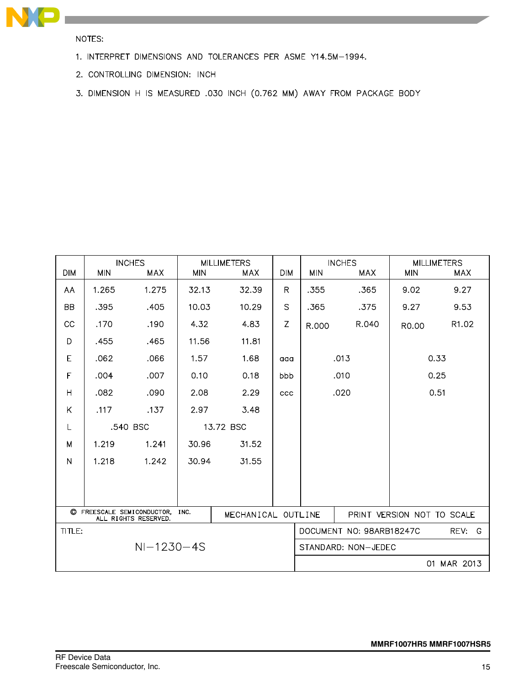![](_page_14_Picture_0.jpeg)

NOTES:

- 1. INTERPRET DIMENSIONS AND TOLERANCES PER ASME Y14.5M-1994.
- 2. CONTROLLING DIMENSION: INCH
- 3. DIMENSION H IS MEASURED .030 INCH (0.762 MM) AWAY FROM PACKAGE BODY

| <b>DIM</b>                                                                       | <b>INCHES</b><br><b>MIN</b><br><b>MAX</b> |       | <b>MILLIMETERS</b><br><b>MIN</b><br><b>MAX</b> |       | <b>DIM</b>                 | <b>MIN</b>                            | <b>INCHES</b><br><b>MAX</b> | <b>MILLIMETERS</b><br><b>MIN</b><br><b>MAX</b> |          |
|----------------------------------------------------------------------------------|-------------------------------------------|-------|------------------------------------------------|-------|----------------------------|---------------------------------------|-----------------------------|------------------------------------------------|----------|
| AA                                                                               | 1.265                                     | 1.275 | 32.13                                          | 32.39 | R.                         | .355                                  | .365                        | 9.02                                           | 9.27     |
| BB                                                                               | .395                                      | .405  | 10.03                                          | 10.29 | S                          | .365                                  | .375                        | 9.27                                           | 9.53     |
| CC                                                                               | .170                                      | .190  | 4.32                                           | 4.83  | Z                          | R.000                                 | R.040                       | R0.00                                          | R1.02    |
| D                                                                                | .455                                      | .465  | 11.56                                          | 11.81 |                            |                                       |                             |                                                |          |
| E                                                                                | .062                                      | .066  | 1.57                                           | 1.68  | aaa                        |                                       | .013                        |                                                | 0.33     |
| F                                                                                | .004                                      | .007  | 0.10                                           | 0.18  | bbb                        |                                       | .010                        |                                                | 0.25     |
| H                                                                                | .082                                      | .090  | 2.08                                           | 2.29  | ccc                        | .020                                  |                             | 0.51                                           |          |
| Κ                                                                                | .117                                      | .137  | 2.97                                           | 3.48  |                            |                                       |                             |                                                |          |
| L                                                                                | .540 BSC                                  |       | 13.72 BSC                                      |       |                            |                                       |                             |                                                |          |
| M                                                                                | 1.219                                     | 1.241 | 30.96                                          | 31.52 |                            |                                       |                             |                                                |          |
| N                                                                                | 1.218                                     | 1.242 | 30.94                                          | 31.55 |                            |                                       |                             |                                                |          |
|                                                                                  |                                           |       |                                                |       |                            |                                       |                             |                                                |          |
|                                                                                  |                                           |       |                                                |       |                            |                                       |                             |                                                |          |
| C FREESCALE SEMICONDUCTOR,<br>INC.<br>MECHANICAL OUTLINE<br>ALL RIGHTS RESERVED. |                                           |       |                                                |       | PRINT VERSION NOT TO SCALE |                                       |                             |                                                |          |
| TITLE:                                                                           |                                           |       |                                                |       |                            | DOCUMENT NO: 98ARB18247C<br>REV:<br>G |                             |                                                |          |
| $NI-1230-4S$                                                                     |                                           |       |                                                |       |                            | STANDARD: NON-JEDEC                   |                             |                                                |          |
|                                                                                  |                                           |       |                                                |       |                            |                                       |                             | 01                                             | MAR 2013 |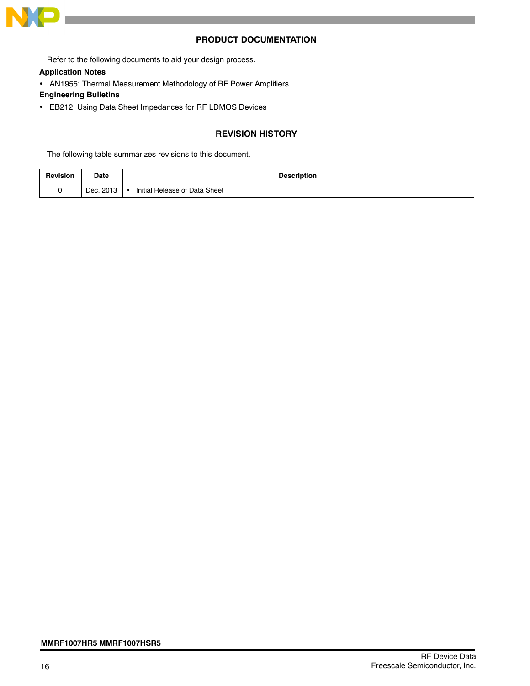![](_page_15_Picture_0.jpeg)

### **PRODUCT DOCUMENTATION**

Refer to the following documents to aid your design process.

**Application Notes**

AN1955: Thermal Measurement Methodology of RF Power Amplifiers

**Engineering Bulletins**

EB212: Using Data Sheet Impedances for RF LDMOS Devices

# **REVISION HISTORY**

The following table summarizes revisions to this document.

| Revision | Date      | Description                   |
|----------|-----------|-------------------------------|
|          | Dec. 2013 | Initial Release of Data Sheet |